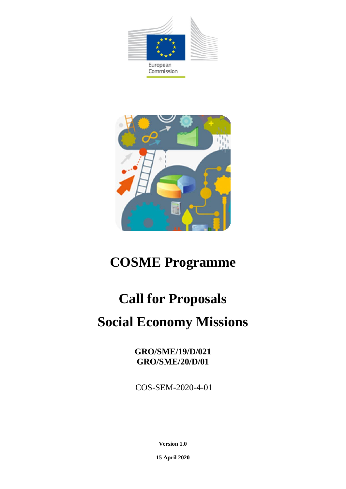

Commission



## **COSME Programme**

# **Call for Proposals Social Economy Missions**

**GRO/SME/19/D/021 GRO/SME/20/D/01**

COS-SEM-2020-4-01

**Version 1.0**

**15 April 2020**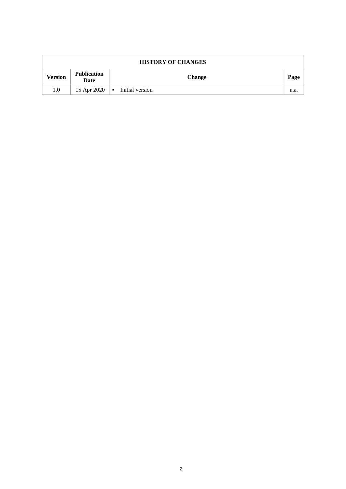| <b>HISTORY OF CHANGES</b> |                            |                                   |      |  |  |  |
|---------------------------|----------------------------|-----------------------------------|------|--|--|--|
| <b>Version</b>            | <b>Publication</b><br>Date | <b>Change</b>                     | Page |  |  |  |
| 1.0                       | 15 Apr 2020                | Initial version<br>$\blacksquare$ | n.a. |  |  |  |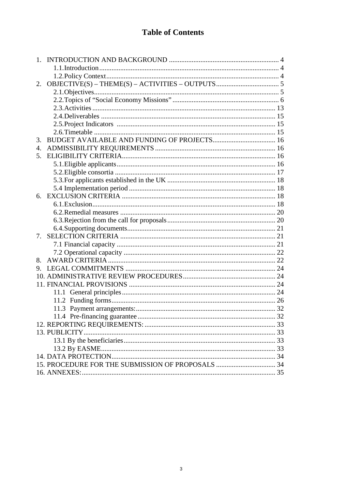## **Table of Contents**

| 2.<br>3.<br>$\overline{4}$ .<br>5.<br>6.<br>7.<br>8.<br>9. |
|------------------------------------------------------------|
|                                                            |
|                                                            |
|                                                            |
|                                                            |
|                                                            |
|                                                            |
|                                                            |
|                                                            |
|                                                            |
|                                                            |
|                                                            |
|                                                            |
|                                                            |
|                                                            |
|                                                            |
|                                                            |
|                                                            |
|                                                            |
|                                                            |
|                                                            |
|                                                            |
|                                                            |
|                                                            |
|                                                            |
|                                                            |
|                                                            |
|                                                            |
|                                                            |
|                                                            |
|                                                            |
|                                                            |
|                                                            |
|                                                            |
|                                                            |
|                                                            |
|                                                            |
|                                                            |
|                                                            |
|                                                            |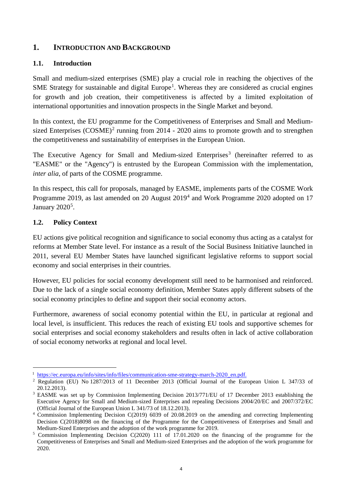## <span id="page-3-0"></span>**1. INTRODUCTION AND BACKGROUND**

#### <span id="page-3-1"></span>**1.1. Introduction**

Small and medium-sized enterprises (SME) play a crucial role in reaching the objectives of the SME Strategy for sustainable and digital Europe<sup>[1](#page-3-3)</sup>. Whereas they are considered as crucial engines for growth and job creation, their competitiveness is affected by a limited exploitation of international opportunities and innovation prospects in the Single Market and beyond.

In this context, the EU programme for the Competitiveness of Enterprises and Small and Mediumsized Enterprises  $(COSME)^2$  $(COSME)^2$  running from 2014 - 2020 aims to promote growth and to strengthen the competitiveness and sustainability of enterprises in the European Union.

The Executive Agency for Small and Medium-sized Enterprises<sup>[3](#page-3-5)</sup> (hereinafter referred to as "EASME" or the "Agency") is entrusted by the European Commission with the implementation, *inter alia*, of parts of the COSME programme.

In this respect, this call for proposals, managed by EASME, implements parts of the COSME Work Programme 2019, as last amended on 20 August 2019[4](#page-3-6) and Work Programme 2020 adopted on 17 January 2020<sup>[5](#page-3-7)</sup>.

## <span id="page-3-2"></span>**1.2. Policy Context**

EU actions give political recognition and significance to social economy thus acting as a catalyst for reforms at Member State level. For instance as a result of the Social Business Initiative launched in 2011, several EU Member States have launched significant legislative reforms to support social economy and social enterprises in their countries.

However, EU policies for social economy development still need to be harmonised and reinforced. Due to the lack of a single social economy definition, Member States apply different subsets of the social economy principles to define and support their social economy actors.

Furthermore, awareness of social economy potential within the EU, in particular at regional and local level, is insufficient. This reduces the reach of existing EU tools and supportive schemes for social enterprises and social economy stakeholders and results often in lack of active collaboration of social economy networks at regional and local level.

<sup>1&</sup>lt;br><sup>1</sup> [https://ec.europa.eu/info/sites/info/files/communication-sme-strategy-march-2020\\_en.pdf.](https://ec.europa.eu/info/sites/info/files/communication-sme-strategy-march-2020_en.pdf)

<span id="page-3-4"></span><span id="page-3-3"></span><sup>2</sup> Regulation (EU) No 1287/2013 of 11 December 2013 (Official Journal of the European Union L 347/33 of 20.12.2013).

<span id="page-3-5"></span><sup>3</sup> EASME was set up by Commission Implementing Decision 2013/771/EU of 17 December 2013 establishing the Executive Agency for Small and Medium-sized Enterprises and repealing Decisions 2004/20/EC and 2007/372/EC (Official Journal of the European Union L 341/73 of 18.12.2013).

<span id="page-3-6"></span><sup>4</sup> Commission Implementing Decision C(2019) 6039 of 20.08.2019 on the amending and correcting Implementing Decision C(2018)8098 on the financing of the Programme for the Competitiveness of Enterprises and Small and Medium-Sized Enterprises and the adoption of the work programme for 2019.

<span id="page-3-7"></span><sup>5</sup> Commission Implementing Decision C(2020) 111 of 17.01.2020 on the financing of the programme for the Competitiveness of Enterprises and Small and Medium-sized Enterprises and the adoption of the work programme for 2020.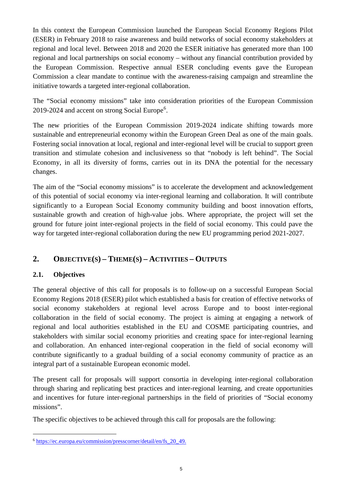In this context the European Commission launched the European Social Economy Regions Pilot (ESER) in February 2018 to raise awareness and build networks of social economy stakeholders at regional and local level. Between 2018 and 2020 the ESER initiative has generated more than 100 regional and local partnerships on social economy – without any financial contribution provided by the European Commission. Respective annual ESER concluding events gave the European Commission a clear mandate to continue with the awareness-raising campaign and streamline the initiative towards a targeted inter-regional collaboration.

The "Social economy missions" take into consideration priorities of the European Commission 2019-2024 and accent on strong Social Europe<sup>[6](#page-4-2)</sup>.

The new priorities of the European Commission 2019-2024 indicate shifting towards more sustainable and entrepreneurial economy within the European Green Deal as one of the main goals. Fostering social innovation at local, regional and inter-regional level will be crucial to support green transition and stimulate cohesion and inclusiveness so that "nobody is left behind". The Social Economy, in all its diversity of forms, carries out in its DNA the potential for the necessary changes.

The aim of the "Social economy missions" is to accelerate the development and acknowledgement of this potential of social economy via inter-regional learning and collaboration. It will contribute significantly to a European Social Economy community building and boost innovation efforts, sustainable growth and creation of high-value jobs. Where appropriate, the project will set the ground for future joint inter-regional projects in the field of social economy. This could pave the way for targeted inter-regional collaboration during the new EU programming period 2021-2027.

## <span id="page-4-0"></span>**2. OBJECTIVE(S) – THEME(S) – ACTIVITIES – OUTPUTS**

## <span id="page-4-1"></span>**2.1. Objectives**

The general objective of this call for proposals is to follow-up on a successful European Social Economy Regions 2018 (ESER) pilot which established a basis for creation of effective networks of social economy stakeholders at regional level across Europe and to boost inter-regional collaboration in the field of social economy. The project is aiming at engaging a network of regional and local authorities established in the EU and COSME participating countries, and stakeholders with similar social economy priorities and creating space for inter-regional learning and collaboration. An enhanced inter-regional cooperation in the field of social economy will contribute significantly to a gradual building of a social economy community of practice as an integral part of a sustainable European economic model.

The present call for proposals will support consortia in developing inter-regional collaboration through sharing and replicating best practices and inter-regional learning, and create opportunities and incentives for future inter-regional partnerships in the field of priorities of "Social economy missions".

The specific objectives to be achieved through this call for proposals are the following:

<span id="page-4-2"></span> <sup>6</sup> [https://ec.europa.eu/commission/presscorner/detail/en/fs\\_20\\_49.](https://ec.europa.eu/commission/presscorner/detail/en/fs_20_49)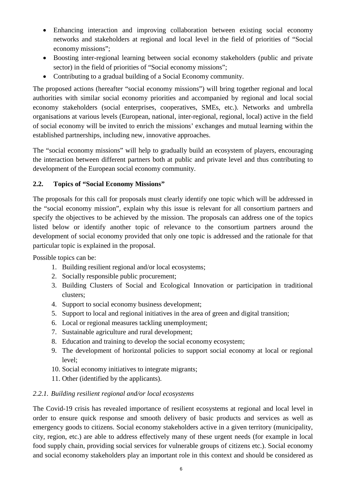- Enhancing interaction and improving collaboration between existing social economy networks and stakeholders at regional and local level in the field of priorities of "Social economy missions";
- Boosting inter-regional learning between social economy stakeholders (public and private sector) in the field of priorities of "Social economy missions";
- Contributing to a gradual building of a Social Economy community.

The proposed actions (hereafter "social economy missions") will bring together regional and local authorities with similar social economy priorities and accompanied by regional and local social economy stakeholders (social enterprises, cooperatives, SMEs, etc.). Networks and umbrella organisations at various levels (European, national, inter-regional, regional, local) active in the field of social economy will be invited to enrich the missions' exchanges and mutual learning within the established partnerships, including new, innovative approaches.

The "social economy missions" will help to gradually build an ecosystem of players, encouraging the interaction between different partners both at public and private level and thus contributing to development of the European social economy community.

## <span id="page-5-0"></span>**2.2. Topics of "Social Economy Missions"**

The proposals for this call for proposals must clearly identify one topic which will be addressed in the "social economy mission", explain why this issue is relevant for all consortium partners and specify the objectives to be achieved by the mission. The proposals can address one of the topics listed below or identify another topic of relevance to the consortium partners around the development of social economy provided that only one topic is addressed and the rationale for that particular topic is explained in the proposal.

Possible topics can be:

- 1. Building resilient regional and/or local ecosystems;
- 2. Socially responsible public procurement;
- 3. Building Clusters of Social and Ecological Innovation or participation in traditional clusters;
- 4. Support to social economy business development;
- 5. Support to local and regional initiatives in the area of green and digital transition;
- 6. Local or regional measures tackling unemployment;
- 7. Sustainable agriculture and rural development;
- 8. Education and training to develop the social economy ecosystem;
- 9. The development of horizontal policies to support social economy at local or regional level;
- 10. Social economy initiatives to integrate migrants;
- 11. Other (identified by the applicants).

## *2.2.1. Building resilient regional and/or local ecosystems*

The Covid-19 crisis has revealed importance of resilient ecosystems at regional and local level in order to ensure quick response and smooth delivery of basic products and services as well as emergency goods to citizens. Social economy stakeholders active in a given territory (municipality, city, region, etc.) are able to address effectively many of these urgent needs (for example in local food supply chain, providing social services for vulnerable groups of citizens etc.). Social economy and social economy stakeholders play an important role in this context and should be considered as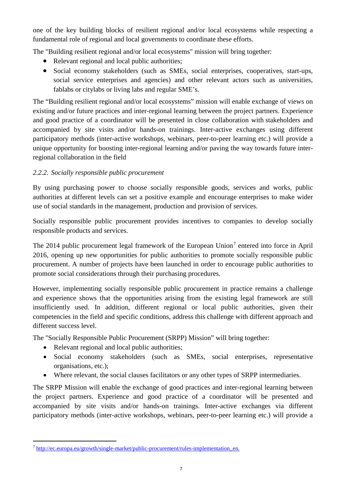one of the key building blocks of resilient regional and/or local ecosystems while respecting a fundamental role of regional and local governments to coordinate these efforts.

The "Building resilient regional and/or local ecosystems" mission will bring together:

- Relevant regional and local public authorities;
- Social economy stakeholders (such as SMEs, social enterprises, cooperatives, start-ups, social service enterprises and agencies) and other relevant actors such as universities, fablabs or citylabs or living labs and regular SME's.

The "Building resilient regional and/or local ecosystems" mission will enable exchange of views on existing and/or future practices and inter-regional learning between the project partners. Experience and good practice of a coordinator will be presented in close collaboration with stakeholders and accompanied by site visits and/or hands-on trainings. Inter-active exchanges using different participatory methods (inter-active workshops, webinars, peer-to-peer learning etc.) will provide a unique opportunity for boosting inter-regional learning and/or paving the way towards future interregional collaboration in the field

## *2.2.2. Socially responsible public procurement*

By using purchasing power to choose socially responsible goods, services and works, public authorities at different levels can set a positive example and encourage enterprises to make wider use of social standards in the management, production and provision of services.

Socially responsible public procurement provides incentives to companies to develop socially responsible products and services.

The 2014 public procurement legal framework of the European Union<sup>[7](#page-6-0)</sup> entered into force in April 2016, opening up new opportunities for public authorities to promote socially responsible public procurement. A number of projects have been launched in order to encourage public authorities to promote social considerations through their purchasing procedures.

However, implementing socially responsible public procurement in practice remains a challenge and experience shows that the opportunities arising from the existing legal framework are still insufficiently used. In addition, different regional or local public authorities, given their competencies in the field and specific conditions, address this challenge with different approach and different success level.

The "Socially Responsible Public Procurement (SRPP) Mission" will bring together:

- Relevant regional and local public authorities;
- Social economy stakeholders (such as SMEs, social enterprises, representative organisations, etc.);
- Where relevant, the social clauses facilitators or any other types of SRPP intermediaries.

The SRPP Mission will enable the exchange of good practices and inter-regional learning between the project partners. Experience and good practice of a coordinator will be presented and accompanied by site visits and/or hands-on trainings. Inter-active exchanges via different participatory methods (inter-active workshops, webinars, peer-to-peer learning etc.) will provide a

<span id="page-6-0"></span> <sup>7</sup> [http://ec.europa.eu/growth/single-market/public-procurement/rules-implementation\\_en.](http://ec.europa.eu/growth/single-market/public-procurement/rules-implementation_en)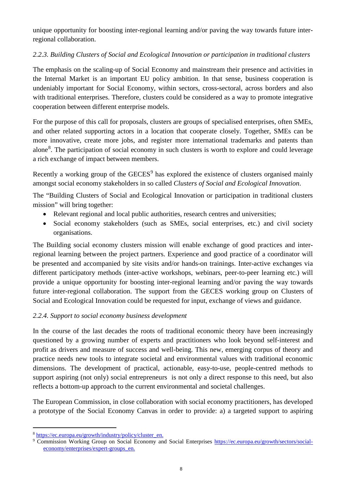unique opportunity for boosting inter-regional learning and/or paving the way towards future interregional collaboration.

## *2.2.3. Building Clusters of Social and Ecological Innovation or participation in traditional clusters*

The emphasis on the scaling-up of Social Economy and mainstream their presence and activities in the Internal Market is an important EU policy ambition. In that sense, business cooperation is undeniably important for Social Economy, within sectors, cross-sectoral, across borders and also with traditional enterprises. Therefore, clusters could be considered as a way to promote integrative cooperation between different enterprise models.

For the purpose of this call for proposals, clusters are groups of specialised enterprises, often SMEs, and other related supporting actors in a location that cooperate closely. Together, SMEs can be more innovative, create more jobs, and register more international trademarks and patents than alone<sup>[8](#page-7-0)</sup>. The participation of social economy in such clusters is worth to explore and could leverage a rich exchange of impact between members.

Recently a working group of the GECES<sup>[9](#page-7-1)</sup> has explored the existence of clusters organised mainly amongst social economy stakeholders in so called *Clusters of Social and Ecological Innovation*.

The "Building Clusters of Social and Ecological Innovation or participation in traditional clusters mission" will bring together:

- Relevant regional and local public authorities, research centres and universities;
- Social economy stakeholders (such as SMEs, social enterprises, etc.) and civil society organisations.

The Building social economy clusters mission will enable exchange of good practices and interregional learning between the project partners. Experience and good practice of a coordinator will be presented and accompanied by site visits and/or hands-on trainings. Inter-active exchanges via different participatory methods (inter-active workshops, webinars, peer-to-peer learning etc.) will provide a unique opportunity for boosting inter-regional learning and/or paving the way towards future inter-regional collaboration. The support from the GECES working group on Clusters of Social and Ecological Innovation could be requested for input, exchange of views and guidance.

## *2.2.4. Support to social economy business development*

In the course of the last decades the roots of traditional economic theory have been increasingly questioned by a growing number of experts and practitioners who look beyond self-interest and profit as drivers and measure of success and well-being. This new, emerging corpus of theory and practice needs new tools to integrate societal and environmental values with traditional economic dimensions. The development of practical, actionable, easy-to-use, people-centred methods to support aspiring (not only) social entrepreneurs is not only a direct response to this need, but also reflects a bottom-up approach to the current environmental and societal challenges.

The European Commission, in close collaboration with social economy practitioners, has developed a prototype of the Social Economy Canvas in order to provide: a) a targeted support to aspiring

<span id="page-7-0"></span> <sup>8</sup> [https://ec.europa.eu/growth/industry/policy/cluster\\_en.](https://ec.europa.eu/growth/industry/policy/cluster_en)

<span id="page-7-1"></span><sup>9</sup> Commission Working Group on Social Economy and Social Enterprises [https://ec.europa.eu/growth/sectors/social](https://ec.europa.eu/growth/sectors/social-economy/enterprises/expert-groups_en)[economy/enterprises/expert-groups\\_en.](https://ec.europa.eu/growth/sectors/social-economy/enterprises/expert-groups_en)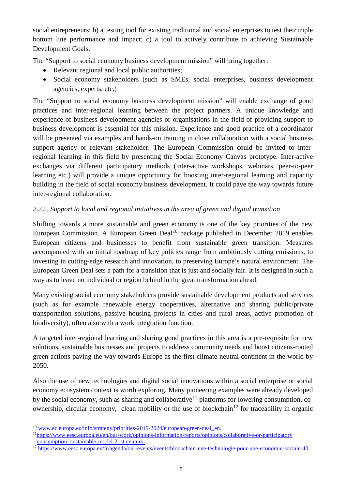social entrepreneurs; b) a testing tool for existing traditional and social enterprises to test their triple bottom line performance and impact; c) a tool to actively contribute to achieving Sustainable Development Goals.

The "Support to social economy business development mission" will bring together:

- Relevant regional and local public authorities;
- Social economy stakeholders (such as SMEs, social enterprises, business development agencies, experts, etc.)

The "Support to social economy business development mission" will enable exchange of good practices and inter-regional learning between the project partners. A unique knowledge and experience of business development agencies or organisations in the field of providing support to business development is essential for this mission. Experience and good practice of a coordinator will be presented via examples and hands-on training in close collaboration with a social business support agency or relevant stakeholder. The European Commission could be invited to interregional learning in this field by presenting the Social Economy Canvas prototype. Inter-active exchanges via different participatory methods (inter-active workshops, webinars, peer-to-peer learning etc.) will provide a unique opportunity for boosting inter-regional learning and capacity building in the field of social economy business development. It could pave the way towards future inter-regional collaboration.

## *2.2.5. Support to local and regional initiatives in the area of green and digital transition*

Shifting towards a more sustainable and green economy is one of the key priorities of the new European Commission. A European Green Deal<sup>[10](#page-8-0)</sup> package published in December 2019 enables European citizens and businesses to benefit from sustainable green transition. Measures accompanied with an initial roadmap of key policies range from ambitiously cutting emissions, to investing in cutting-edge research and innovation, to preserving Europe's natural environment. The European Green Deal sets a path for a transition that is just and socially fair. It is designed in such a way as to leave no individual or region behind in the great transformation ahead.

Many existing social economy stakeholders provide sustainable development products and services (such as for example renewable energy cooperatives, alternative and sharing public/private transportation solutions, passive housing projects in cities and rural areas, active promotion of biodiversity), often also with a work integration function.

A targeted inter-regional learning and sharing good practices in this area is a pre-requisite for new solutions, sustainable businesses and projects to address community needs and boost citizens-rooted green actions paving the way towards Europe as the first climate-neutral continent in the world by 2050.

Also the use of new technologies and digital social innovations within a social enterprise or social economy ecosystem context is worth exploring. Many pioneering examples were already developed by the social economy, such as sharing and collaborative<sup>[11](#page-8-1)</sup> platforms for lowering consumption, co-ownership, circular economy, clean mobility or the use of blockchain<sup>[12](#page-8-2)</sup> for traceability in organic

<span id="page-8-0"></span> <sup>10</sup> [www.ec.europa.eu/info/strategy/priorities-2019-2024/european-green-deal\\_en.](http://www.ec.europa.eu/info/strategy/priorities-2019-2024/european-green-deal_en)

<span id="page-8-1"></span><sup>1</sup>[1https://www.eesc.europa.eu/en/our-work/opinions-information-reports/opinions/collaborative-or-participatory](https://www.eesc.europa.eu/en/our-work/opinions-information-reports/opinions/collaborative-or-participatory%20consumption%20-sustainable-model-21st-century)  consumption [-sustainable-model-21st-century.](https://www.eesc.europa.eu/en/our-work/opinions-information-reports/opinions/collaborative-or-participatory%20consumption%20-sustainable-model-21st-century)

<span id="page-8-2"></span><sup>&</sup>lt;sup>12</sup> [https://www.eesc.europa.eu/fr/agenda/our-events/events/blockchain-une-technologie-pour-une-economie-sociale-40.](https://www.eesc.europa.eu/fr/agenda/our-events/events/blockchain-une-technologie-pour-une-economie-sociale-40)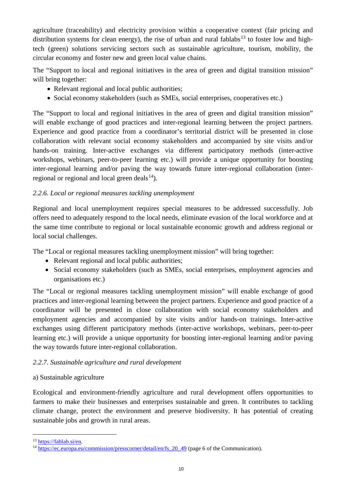agriculture (traceability) and electricity provision within a cooperative context (fair pricing and distribution systems for clean energy), the rise of urban and rural fablabs<sup>[13](#page-9-0)</sup> to foster low and hightech (green) solutions servicing sectors such as sustainable agriculture, tourism, mobility, the circular economy and foster new and green local value chains.

The "Support to local and regional initiatives in the area of green and digital transition mission" will bring together:

- Relevant regional and local public authorities;
- Social economy stakeholders (such as SMEs, social enterprises, cooperatives etc.)

The "Support to local and regional initiatives in the area of green and digital transition mission" will enable exchange of good practices and inter-regional learning between the project partners. Experience and good practice from a coordinator's territorial district will be presented in close collaboration with relevant social economy stakeholders and accompanied by site visits and/or hands-on training. Inter-active exchanges via different participatory methods (inter-active workshops, webinars, peer-to-peer learning etc.) will provide a unique opportunity for boosting inter-regional learning and/or paving the way towards future inter-regional collaboration (interregional or regional and local green deals $^{14}$ ).

## *2.2.6. Local or regional measures tackling unemployment*

Regional and local unemployment requires special measures to be addressed successfully. Job offers need to adequately respond to the local needs, eliminate evasion of the local workforce and at the same time contribute to regional or local sustainable economic growth and address regional or local social challenges.

The "Local or regional measures tackling unemployment mission" will bring together:

- Relevant regional and local public authorities;
- Social economy stakeholders (such as SMEs, social enterprises, employment agencies and organisations etc.)

The "Local or regional measures tackling unemployment mission" will enable exchange of good practices and inter-regional learning between the project partners. Experience and good practice of a coordinator will be presented in close collaboration with social economy stakeholders and employment agencies and accompanied by site visits and/or hands-on trainings. Inter-active exchanges using different participatory methods (inter-active workshops, webinars, peer-to-peer learning etc.) will provide a unique opportunity for boosting inter-regional learning and/or paving the way towards future inter-regional collaboration.

## *2.2.7. Sustainable agriculture and rural development*

## a) Sustainable agriculture

Ecological and environment-friendly agriculture and rural development offers opportunities to farmers to make their businesses and enterprises sustainable and green. It contributes to tackling climate change, protect the environment and preserve biodiversity. It has potential of creating sustainable jobs and growth in rural areas.

<span id="page-9-0"></span> <sup>13</sup> [https://fablab.si/en.](https://fablab.si/en)

<span id="page-9-1"></span><sup>&</sup>lt;sup>14</sup> https://ec.europa.eu/commission/presscorner/detail/en/fs 20 49 (page 6 of the Communication).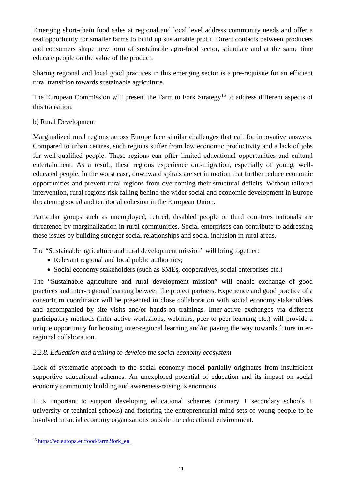Emerging short-chain food sales at regional and local level address community needs and offer a real opportunity for smaller farms to build up sustainable profit. Direct contacts between producers and consumers shape new form of sustainable agro-food sector, stimulate and at the same time educate people on the value of the product.

Sharing regional and local good practices in this emerging sector is a pre-requisite for an efficient rural transition towards sustainable agriculture.

The European Commission will present the Farm to Fork Strategy<sup>[15](#page-10-0)</sup> to address different aspects of this transition.

## b) Rural Development

Marginalized rural regions across Europe face similar challenges that call for innovative answers. Compared to urban centres, such regions suffer from low economic productivity and a lack of jobs for well-qualified people. These regions can offer limited educational opportunities and cultural entertainment. As a result, these regions experience out-migration, especially of young, welleducated people. In the worst case, downward spirals are set in motion that further reduce economic opportunities and prevent rural regions from overcoming their structural deficits. Without tailored intervention, rural regions risk falling behind the wider social and economic development in Europe threatening social and territorial cohesion in the European Union.

Particular groups such as unemployed, retired, disabled people or third countries nationals are threatened by marginalization in rural communities. Social enterprises can contribute to addressing these issues by building stronger social relationships and social inclusion in rural areas.

The "Sustainable agriculture and rural development mission" will bring together:

- Relevant regional and local public authorities;
- Social economy stakeholders (such as SMEs, cooperatives, social enterprises etc.)

The "Sustainable agriculture and rural development mission" will enable exchange of good practices and inter-regional learning between the project partners. Experience and good practice of a consortium coordinator will be presented in close collaboration with social economy stakeholders and accompanied by site visits and/or hands-on trainings. Inter-active exchanges via different participatory methods (inter-active workshops, webinars, peer-to-peer learning etc.) will provide a unique opportunity for boosting inter-regional learning and/or paving the way towards future interregional collaboration.

## *2.2.8. Education and training to develop the social economy ecosystem*

Lack of systematic approach to the social economy model partially originates from insufficient supportive educational schemes. An unexplored potential of education and its impact on social economy community building and awareness-raising is enormous.

It is important to support developing educational schemes (primary  $+$  secondary schools  $+$ university or technical schools) and fostering the entrepreneurial mind-sets of young people to be involved in social economy organisations outside the educational environment.

<span id="page-10-0"></span> <sup>15</sup> [https://ec.europa.eu/food/farm2fork\\_en.](https://ec.europa.eu/food/farm2fork_en)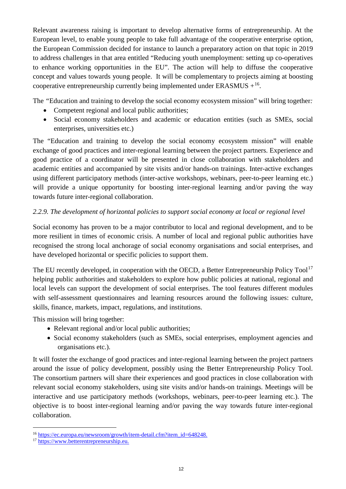Relevant awareness raising is important to develop alternative forms of entrepreneurship. At the European level, to enable young people to take full advantage of the cooperative enterprise option, the European Commission decided for instance to launch a preparatory action on that topic in 2019 to address challenges in that area entitled "Reducing youth unemployment: setting up co-operatives to enhance working opportunities in the EU". The action will help to diffuse the cooperative concept and values towards young people. It will be complementary to projects aiming at boosting cooperative entrepreneurship currently being implemented under ERASMUS  $+^{16}$  $+^{16}$  $+^{16}$ .

The *"*Education and training to develop the social economy ecosystem mission" will bring together*:*

- Competent regional and local public authorities;
- Social economy stakeholders and academic or education entities (such as SMEs, social enterprises, universities etc.)

The "Education and training to develop the social economy ecosystem mission" will enable exchange of good practices and inter-regional learning between the project partners. Experience and good practice of a coordinator will be presented in close collaboration with stakeholders and academic entities and accompanied by site visits and/or hands-on trainings. Inter-active exchanges using different participatory methods (inter-active workshops, webinars, peer-to-peer learning etc.) will provide a unique opportunity for boosting inter-regional learning and/or paving the way towards future inter-regional collaboration.

## *2.2.9. The development of horizontal policies to support social economy at local or regional level*

Social economy has proven to be a major contributor to local and regional development, and to be more resilient in times of economic crisis. A number of local and regional public authorities have recognised the strong local anchorage of social economy organisations and social enterprises, and have developed horizontal or specific policies to support them.

The EU recently developed, in cooperation with the OECD, a Better Entrepreneurship Policy Tool<sup>[17](#page-11-1)</sup> helping public authorities and stakeholders to explore how public policies at national, regional and local levels can support the development of social enterprises. The tool features different modules with self-assessment questionnaires and learning resources around the following issues: culture, skills, finance, markets, impact, regulations, and institutions.

This mission will bring together:

- Relevant regional and/or local public authorities;
- Social economy stakeholders (such as SMEs, social enterprises, employment agencies and organisations etc.).

It will foster the exchange of good practices and inter-regional learning between the project partners around the issue of policy development, possibly using the Better Entrepreneurship Policy Tool. The consortium partners will share their experiences and good practices in close collaboration with relevant social economy stakeholders, using site visits and/or hands-on trainings. Meetings will be interactive and use participatory methods (workshops, webinars, peer-to-peer learning etc.). The objective is to boost inter-regional learning and/or paving the way towards future inter-regional collaboration.

<span id="page-11-0"></span> <sup>16</sup> [https://ec.europa.eu/newsroom/growth/item-detail.cfm?item\\_id=648248.](https://ec.europa.eu/newsroom/growth/item-detail.cfm?item_id=648248)

<span id="page-11-1"></span><sup>&</sup>lt;sup>17</sup> https://www.betterentrepreneurship.eu.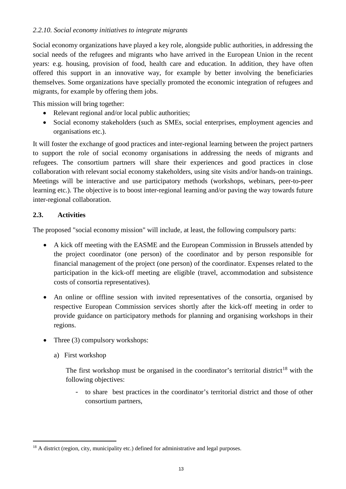#### *2.2.10. Social economy initiatives to integrate migrants*

Social economy organizations have played a key role, alongside public authorities, in addressing the social needs of the refugees and migrants who have arrived in the European Union in the recent years: e.g. housing, provision of food, health care and education. In addition, they have often offered this support in an innovative way, for example by better involving the beneficiaries themselves. Some organizations have specially promoted the economic integration of refugees and migrants, for example by offering them jobs.

This mission will bring together:

- Relevant regional and/or local public authorities;
- Social economy stakeholders (such as SMEs, social enterprises, employment agencies and organisations etc.).

It will foster the exchange of good practices and inter-regional learning between the project partners to support the role of social economy organisations in addressing the needs of migrants and refugees. The consortium partners will share their experiences and good practices in close collaboration with relevant social economy stakeholders, using site visits and/or hands-on trainings. Meetings will be interactive and use participatory methods (workshops, webinars, peer-to-peer learning etc.). The objective is to boost inter-regional learning and/or paving the way towards future inter-regional collaboration.

#### <span id="page-12-0"></span>**2.3. Activities**

The proposed "social economy mission" will include, at least, the following compulsory parts:

- A kick off meeting with the EASME and the European Commission in Brussels attended by the project coordinator (one person) of the coordinator and by person responsible for financial management of the project (one person) of the coordinator. Expenses related to the participation in the kick-off meeting are eligible (travel, accommodation and subsistence costs of consortia representatives).
- An online or offline session with invited representatives of the consortia, organised by respective European Commission services shortly after the kick-off meeting in order to provide guidance on participatory methods for planning and organising workshops in their regions.
- Three (3) compulsory workshops:
	- a) First workshop

The first workshop must be organised in the coordinator's territorial district<sup>[18](#page-12-1)</sup> with the following objectives:

- to share best practices in the coordinator's territorial district and those of other consortium partners,

<span id="page-12-1"></span><sup>&</sup>lt;sup>18</sup> A district (region, city, municipality etc.) defined for administrative and legal purposes.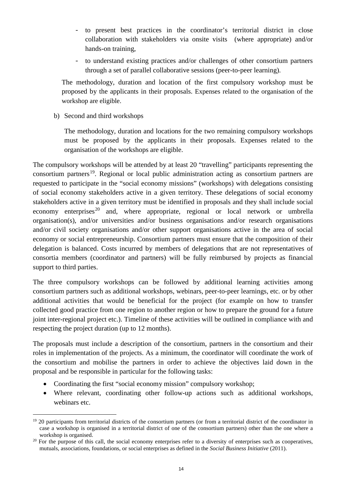- to present best practices in the coordinator's territorial district in close collaboration with stakeholders via onsite visits (where appropriate) and/or hands-on training,
- to understand existing practices and/or challenges of other consortium partners through a set of parallel collaborative sessions (peer-to-peer learning).

The methodology, duration and location of the first compulsory workshop must be proposed by the applicants in their proposals. Expenses related to the organisation of the workshop are eligible.

b) Second and third workshops

The methodology, duration and locations for the two remaining compulsory workshops must be proposed by the applicants in their proposals. Expenses related to the organisation of the workshops are eligible.

The compulsory workshops will be attended by at least 20 "travelling" participants representing the consortium partners<sup>19</sup>. Regional or local public administration acting as consortium partners are requested to participate in the "social economy missions" (workshops) with delegations consisting of social economy stakeholders active in a given territory. These delegations of social economy stakeholders active in a given territory must be identified in proposals and they shall include social economy enterprises<sup>[20](#page-13-1)</sup> and, where appropriate, regional or local network or umbrella organisation(s), and/or universities and/or business organisations and/or research organisations and/or civil society organisations and/or other support organisations active in the area of social economy or social entrepreneurship. Consortium partners must ensure that the composition of their delegation is balanced. Costs incurred by members of delegations that are not representatives of consortia members (coordinator and partners) will be fully reimbursed by projects as financial support to third parties.

The three compulsory workshops can be followed by additional learning activities among consortium partners such as additional workshops, webinars, peer-to-peer learnings, etc. or by other additional activities that would be beneficial for the project (for example on how to transfer collected good practice from one region to another region or how to prepare the ground for a future joint inter-regional project etc.). Timeline of these activities will be outlined in compliance with and respecting the project duration (up to 12 months).

The proposals must include a description of the consortium, partners in the consortium and their roles in implementation of the projects. As a minimum, the coordinator will coordinate the work of the consortium and mobilise the partners in order to achieve the objectives laid down in the proposal and be responsible in particular for the following tasks:

- Coordinating the first "social economy mission" compulsory workshop;
- Where relevant, coordinating other follow-up actions such as additional workshops, webinars etc.

<span id="page-13-0"></span><sup>&</sup>lt;sup>19</sup> 20 participants from territorial districts of the consortium partners (or from a territorial district of the coordinator in case a workshop is organised in a territorial district of one of the consortium partners) other than the one where a workshop is organised.

<span id="page-13-1"></span><sup>&</sup>lt;sup>20</sup> For the purpose of this call, the social economy enterprises refer to a diversity of enterprises such as cooperatives, mutuals, associations, foundations, or social enterprises as defined in the *Social Business Initiative* (2011).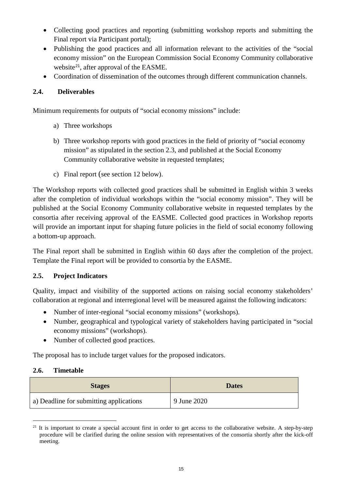- Collecting good practices and reporting (submitting workshop reports and submitting the Final report via Participant portal);
- Publishing the good practices and all information relevant to the activities of the "social economy mission" on the European Commission Social Economy Community collaborative website<sup>[21](#page-14-3)</sup>, after approval of the EASME.
- Coordination of dissemination of the outcomes through different communication channels.

## <span id="page-14-0"></span>**2.4. Deliverables**

Minimum requirements for outputs of "social economy missions" include:

- a) Three workshops
- b) Three workshop reports with good practices in the field of priority of "social economy mission" as stipulated in the section 2.3, and published at the Social Economy Community collaborative website in requested templates;
- c) Final report (see section 12 below).

The Workshop reports with collected good practices shall be submitted in English within 3 weeks after the completion of individual workshops within the "social economy mission". They will be published at the Social Economy Community collaborative website in requested templates by the consortia after receiving approval of the EASME. Collected good practices in Workshop reports will provide an important input for shaping future policies in the field of social economy following a bottom-up approach.

The Final report shall be submitted in English within 60 days after the completion of the project. Template the Final report will be provided to consortia by the EASME.

## <span id="page-14-1"></span>**2.5. Project Indicators**

Quality, impact and visibility of the supported actions on raising social economy stakeholders' collaboration at regional and interregional level will be measured against the following indicators:

- Number of inter-regional "social economy missions" (workshops).
- Number, geographical and typological variety of stakeholders having participated in "social" economy missions" (workshops).
- Number of collected good practices.

The proposal has to include target values for the proposed indicators.

#### <span id="page-14-2"></span>**2.6. Timetable**

| <b>Stages</b>                           | <b>Dates</b> |
|-----------------------------------------|--------------|
| a) Deadline for submitting applications | 9 June 2020  |

<span id="page-14-3"></span> $21$  It is important to create a special account first in order to get access to the collaborative website. A step-by-step procedure will be clarified during the online session with representatives of the consortia shortly after the kick-off meeting.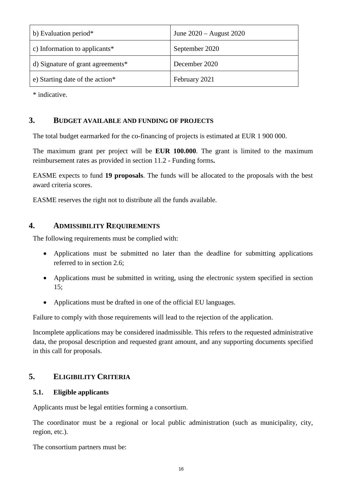| b) Evaluation period*             | June $2020 -$ August 2020 |
|-----------------------------------|---------------------------|
| c) Information to applicants*     | September 2020            |
| d) Signature of grant agreements* | December 2020             |
| e) Starting date of the action*   | February 2021             |

<span id="page-15-0"></span>\* indicative.

## **3. BUDGET AVAILABLE AND FUNDING OF PROJECTS**

The total budget earmarked for the co-financing of projects is estimated at EUR 1 900 000.

The maximum grant per project will be **EUR 100.000**. The grant is limited to the maximum reimbursement rates as provided in section 11.2 - Funding forms**.**

EASME expects to fund **19 proposals**. The funds will be allocated to the proposals with the best award criteria scores.

<span id="page-15-1"></span>EASME reserves the right not to distribute all the funds available.

## **4. ADMISSIBILITY REQUIREMENTS**

The following requirements must be complied with:

- Applications must be submitted no later than the deadline for submitting applications referred to in section 2.6;
- Applications must be submitted in writing, using the electronic system specified in section 15;
- Applications must be drafted in one of the official EU languages.

Failure to comply with those requirements will lead to the rejection of the application.

Incomplete applications may be considered inadmissible. This refers to the requested administrative data, the proposal description and requested grant amount, and any supporting documents specified in this call for proposals.

## <span id="page-15-2"></span>**5. ELIGIBILITY CRITERIA**

#### <span id="page-15-3"></span>**5.1. Eligible applicants**

Applicants must be legal entities forming a consortium.

The coordinator must be a regional or local public administration (such as municipality, city, region, etc.).

The consortium partners must be: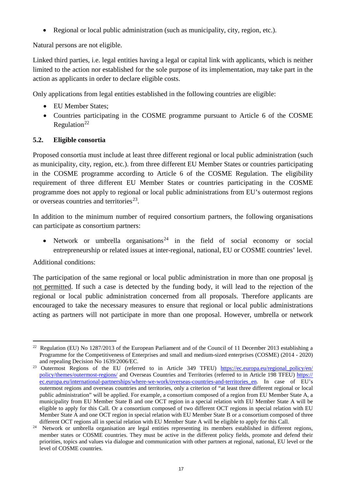• Regional or local public administration (such as municipality, city, region, etc.).

Natural persons are not eligible.

Linked third parties, i.e. legal entities having a legal or capital link with applicants, which is neither limited to the action nor established for the sole purpose of its implementation, may take part in the action as applicants in order to declare eligible costs.

Only applications from legal entities established in the following countries are eligible:

- EU Member States:
- Countries participating in the COSME programme pursuant to Article 6 of the COSME Regulation<sup>[22](#page-16-1)</sup>

#### <span id="page-16-0"></span>**5.2. Eligible consortia**

Proposed consortia must include at least three different regional or local public administration (such as municipality, city, region, etc.). from three different EU Member States or countries participating in the COSME programme according to Article 6 of the COSME Regulation. The eligibility requirement of three different EU Member States or countries participating in the COSME programme does not apply to regional or local public administrations from EU's outermost regions or overseas countries and territories<sup>23</sup>.

In addition to the minimum number of required consortium partners, the following organisations can participate as consortium partners:

• Network or umbrella organisations<sup>[24](#page-16-3)</sup> in the field of social economy or social entrepreneurship or related issues at inter-regional, national, EU or COSME countries' level.

Additional conditions:

The participation of the same regional or local public administration in more than one proposal is not permitted. If such a case is detected by the funding body, it will lead to the rejection of the regional or local public administration concerned from all proposals. Therefore applicants are encouraged to take the necessary measures to ensure that regional or local public administrations acting as partners will not participate in more than one proposal. However, umbrella or network

<span id="page-16-1"></span><sup>&</sup>lt;sup>22</sup> Regulation (EU) No 1287/2013 of the European Parliament and of the Council of 11 December 2013 establishing a Programme for the Competitiveness of Enterprises and small and medium-sized enterprises (COSME) (2014 - 2020) and repealing Decision No 1639/2006/EC.

<span id="page-16-2"></span><sup>&</sup>lt;sup>23</sup> Outermost Regions of the EU (referred to in Article 349 TFEU) https://ec.europa.eu/regional policy/en/ [policy/themes/outermost-regions/](https://ec.europa.eu/regional_policy/en/%20policy/themes/outermost-regions/) and Overseas Countries and Territories (referred to in Article 198 TFEU) https:// ec.europa.eu/international-partnerships/where-we-work/overseas-countries-and-territories\_en. In case of EU's outermost regions and overseas countries and territories, only a criterion of "at least three different regional or local public administration" will be applied. For example, a consortium composed of a region from EU Member State A, a municipality from EU Member State B and one OCT region in a special relation with EU Member State A will be eligible to apply for this Call. Or a consortium composed of two different OCT regions in special relation with EU Member State A and one OCT region in special relation with EU Member State B or a consortium composed of three different OCT regions all in special relation with EU Member State A will be eligible to apply for this Call.

<span id="page-16-3"></span><sup>&</sup>lt;sup>24</sup> Network or umbrella organisation are legal entities representing its members established in different regions, member states or COSME countries. They must be active in the different policy fields, promote and defend their priorities, topics and values via dialogue and communication with other partners at regional, national, EU level or the level of COSME countries.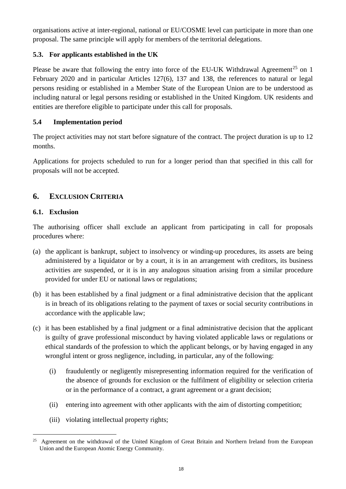organisations active at inter-regional, national or EU/COSME level can participate in more than one proposal. The same principle will apply for members of the territorial delegations.

## <span id="page-17-0"></span>**5.3. For applicants established in the UK**

Please be aware that following the entry into force of the EU-UK Withdrawal Agreement<sup>[25](#page-17-4)</sup> on 1 February 2020 and in particular Articles 127(6), 137 and 138, the references to natural or legal persons residing or established in a Member State of the European Union are to be understood as including natural or legal persons residing or established in the United Kingdom. UK residents and entities are therefore eligible to participate under this call for proposals.

## <span id="page-17-1"></span>**5.4 Implementation period**

The project activities may not start before signature of the contract. The project duration is up to 12 months.

Applications for projects scheduled to run for a longer period than that specified in this call for proposals will not be accepted.

## <span id="page-17-2"></span>**6. EXCLUSION CRITERIA**

## <span id="page-17-3"></span>**6.1. Exclusion**

The authorising officer shall exclude an applicant from participating in call for proposals procedures where:

- (a) the applicant is bankrupt, subject to insolvency or winding-up procedures, its assets are being administered by a liquidator or by a court, it is in an arrangement with creditors, its business activities are suspended, or it is in any analogous situation arising from a similar procedure provided for under EU or national laws or regulations;
- (b) it has been established by a final judgment or a final administrative decision that the applicant is in breach of its obligations relating to the payment of taxes or social security contributions in accordance with the applicable law;
- (c) it has been established by a final judgment or a final administrative decision that the applicant is guilty of grave professional misconduct by having violated applicable laws or regulations or ethical standards of the profession to which the applicant belongs, or by having engaged in any wrongful intent or gross negligence, including, in particular, any of the following:
	- (i) fraudulently or negligently misrepresenting information required for the verification of the absence of grounds for exclusion or the fulfilment of eligibility or selection criteria or in the performance of a contract, a grant agreement or a grant decision;
	- (ii) entering into agreement with other applicants with the aim of distorting competition;
	- (iii) violating intellectual property rights;

<span id="page-17-4"></span> <sup>25</sup> Agreement on the withdrawal of the United Kingdom of Great Britain and Northern Ireland from the European Union and the European Atomic Energy Community.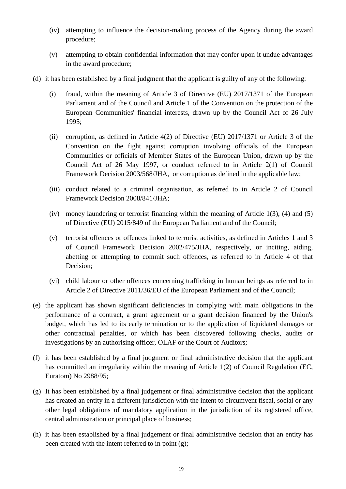- (iv) attempting to influence the decision-making process of the Agency during the award procedure;
- (v) attempting to obtain confidential information that may confer upon it undue advantages in the award procedure;
- (d) it has been established by a final judgment that the applicant is guilty of any of the following:
	- (i) fraud, within the meaning of Article 3 of Directive (EU) 2017/1371 of the European Parliament and of the Council and Article 1 of the Convention on the protection of the European Communities' financial interests, drawn up by the Council Act of 26 July 1995;
	- (ii) corruption, as defined in Article 4(2) of Directive (EU) 2017/1371 or Article 3 of the Convention on the fight against corruption involving officials of the European Communities or officials of Member States of the European Union, drawn up by the Council Act of 26 May 1997, or conduct referred to in Article 2(1) of Council Framework Decision 2003/568/JHA, or corruption as defined in the applicable law;
	- (iii) conduct related to a criminal organisation, as referred to in Article 2 of Council Framework Decision 2008/841/JHA;
	- (iv) money laundering or terrorist financing within the meaning of Article 1(3), (4) and (5) of Directive (EU) 2015/849 of the European Parliament and of the Council;
	- (v) terrorist offences or offences linked to terrorist activities, as defined in Articles 1 and 3 of Council Framework Decision 2002/475/JHA, respectively, or inciting, aiding, abetting or attempting to commit such offences, as referred to in Article 4 of that Decision;
	- (vi) child labour or other offences concerning trafficking in human beings as referred to in Article 2 of Directive 2011/36/EU of the European Parliament and of the Council;
- (e) the applicant has shown significant deficiencies in complying with main obligations in the performance of a contract, a grant agreement or a grant decision financed by the Union's budget, which has led to its early termination or to the application of liquidated damages or other contractual penalties, or which has been discovered following checks, audits or investigations by an authorising officer, OLAF or the Court of Auditors;
- (f) it has been established by a final judgment or final administrative decision that the applicant has committed an irregularity within the meaning of Article 1(2) of Council Regulation (EC, Euratom) No 2988/95;
- (g) It has been established by a final judgement or final administrative decision that the applicant has created an entity in a different jurisdiction with the intent to circumvent fiscal, social or any other legal obligations of mandatory application in the jurisdiction of its registered office, central administration or principal place of business;
- (h) it has been established by a final judgement or final administrative decision that an entity has been created with the intent referred to in point (g);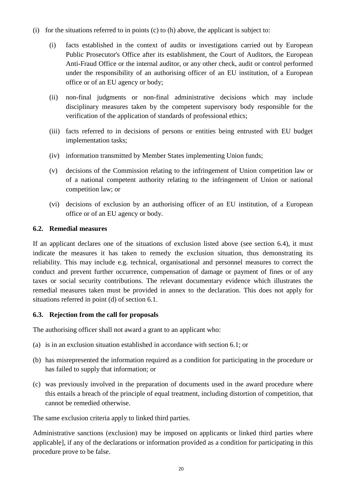- (i) for the situations referred to in points (c) to (h) above, the applicant is subject to:
	- (i) facts established in the context of audits or investigations carried out by European Public Prosecutor's Office after its establishment, the Court of Auditors, the European Anti-Fraud Office or the internal auditor, or any other check, audit or control performed under the responsibility of an authorising officer of an EU institution, of a European office or of an EU agency or body;
	- (ii) non-final judgments or non-final administrative decisions which may include disciplinary measures taken by the competent supervisory body responsible for the verification of the application of standards of professional ethics;
	- (iii) facts referred to in decisions of persons or entities being entrusted with EU budget implementation tasks;
	- (iv) information transmitted by Member States implementing Union funds;
	- (v) decisions of the Commission relating to the infringement of Union competition law or of a national competent authority relating to the infringement of Union or national competition law; or
	- (vi) decisions of exclusion by an authorising officer of an EU institution, of a European office or of an EU agency or body.

#### <span id="page-19-0"></span>**6.2. Remedial measures**

If an applicant declares one of the situations of exclusion listed above (see section 6.4), it must indicate the measures it has taken to remedy the exclusion situation, thus demonstrating its reliability. This may include e.g. technical, organisational and personnel measures to correct the conduct and prevent further occurrence, compensation of damage or payment of fines or of any taxes or social security contributions. The relevant documentary evidence which illustrates the remedial measures taken must be provided in annex to the declaration. This does not apply for situations referred in point (d) of section 6.1.

## <span id="page-19-1"></span>**6.3. Rejection from the call for proposals**

The authorising officer shall not award a grant to an applicant who:

- (a) is in an exclusion situation established in accordance with section 6.1; or
- (b) has misrepresented the information required as a condition for participating in the procedure or has failed to supply that information; or
- (c) was previously involved in the preparation of documents used in the award procedure where this entails a breach of the principle of equal treatment, including distortion of competition, that cannot be remedied otherwise.

The same exclusion criteria apply to linked third parties.

Administrative sanctions (exclusion) may be imposed on applicants or linked third parties where applicable], if any of the declarations or information provided as a condition for participating in this procedure prove to be false.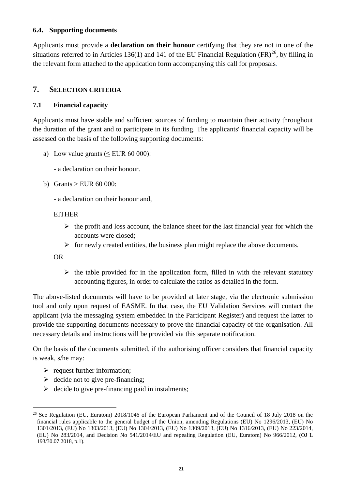#### <span id="page-20-0"></span>**6.4. Supporting documents**

Applicants must provide a **declaration on their honour** certifying that they are not in one of the situations referred to in Articles 136(1) and 141 of the EU Financial Regulation  $(FR)^{26}$ , by filling in the relevant form attached to the application form accompanying this call for proposals*.*

### <span id="page-20-1"></span>**7. SELECTION CRITERIA**

#### <span id="page-20-2"></span>**7.1 Financial capacity**

Applicants must have stable and sufficient sources of funding to maintain their activity throughout the duration of the grant and to participate in its funding. The applicants' financial capacity will be assessed on the basis of the following supporting documents:

- a) Low value grants ( $\leq$  EUR 60 000):
	- a declaration on their honour.
- b) Grants > EUR 60 000:
	- a declaration on their honour and,

#### **EITHER**

- $\triangleright$  the profit and loss account, the balance sheet for the last financial year for which the accounts were closed;
- $\triangleright$  for newly created entities, the business plan might replace the above documents.

#### OR

 $\triangleright$  the table provided for in the application form, filled in with the relevant statutory accounting figures, in order to calculate the ratios as detailed in the form.

The above-listed documents will have to be provided at later stage, via the electronic submission tool and only upon request of EASME. In that case, the EU Validation Services will contact the applicant (via the messaging system embedded in the Participant Register) and request the latter to provide the supporting documents necessary to prove the financial capacity of the organisation. All necessary details and instructions will be provided via this separate notification.

On the basis of the documents submitted, if the authorising officer considers that financial capacity is weak, s/he may:

- $\triangleright$  request further information;
- $\geq$  decide not to give pre-financing:
- $\triangleright$  decide to give pre-financing paid in instalments;

<span id="page-20-3"></span><sup>&</sup>lt;sup>26</sup> See Regulation (EU, Euratom) 2018/1046 of the European Parliament and of the Council of 18 July 2018 on the financial rules applicable to the general budget of the Union, amending Regulations (EU) No 1296/2013, (EU) No 1301/2013, (EU) No 1303/2013, (EU) No 1304/2013, (EU) No 1309/2013, (EU) No 1316/2013, (EU) No 223/2014, (EU) No 283/2014, and Decision No 541/2014/EU and repealing Regulation (EU, Euratom) No 966/2012, (OJ L 193/30.07.2018, p.1).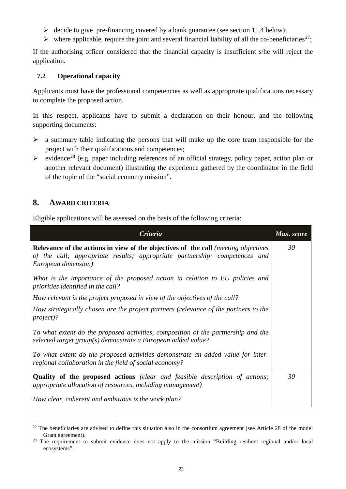- $\triangleright$  decide to give pre-financing covered by a bank guarantee (see section 11.4 below);
- $\triangleright$  where applicable, require the joint and several financial liability of all the co-beneficiaries<sup>[27](#page-21-2)</sup>;

If the authorising officer considered that the financial capacity is insufficient s/he will reject the application.

#### <span id="page-21-0"></span>**7.2 Operational capacity**

Applicants must have the professional competencies as well as appropriate qualifications necessary to complete the proposed action.

In this respect, applicants have to submit a declaration on their honour, and the following supporting documents:

- $\triangleright$  a summary table indicating the persons that will make up the core team responsible for the project with their qualifications and competences;
- $\triangleright$  evidence<sup>[28](#page-21-3)</sup> (e.g. paper including references of an official strategy, policy paper, action plan or another relevant document) illustrating the experience gathered by the coordinator in the field of the topic of the "social economy mission".

## <span id="page-21-1"></span>**8. AWARD CRITERIA**

Eligible applications will be assessed on the basis of the following criteria:

| <b>Criteria</b>                                                                                                                                                                                       | Max. score |
|-------------------------------------------------------------------------------------------------------------------------------------------------------------------------------------------------------|------------|
| <b>Relevance of the actions in view of the objectives of the call</b> <i>(meeting objectives</i><br>of the call; appropriate results; appropriate partnership: competences and<br>European dimension) | 30         |
| What is the importance of the proposed action in relation to EU policies and<br>priorities identified in the call?                                                                                    |            |
| How relevant is the project proposed in view of the objectives of the call?                                                                                                                           |            |
| How strategically chosen are the project partners (relevance of the partners to the<br><i>project</i> )?                                                                                              |            |
| To what extent do the proposed activities, composition of the partnership and the<br>selected target group(s) demonstrate a European added value?                                                     |            |
| To what extent do the proposed activities demonstrate an added value for inter-<br>regional collaboration in the field of social economy?                                                             |            |
| <b>Quality of the proposed actions</b> (clear and feasible description of actions;<br>appropriate allocation of resources, including management)                                                      |            |
| How clear, coherent and ambitious is the work plan?                                                                                                                                                   |            |

<span id="page-21-2"></span> $27$  The beneficiaries are advised to define this situation also in the consortium agreement (see Article 28 of the model Grant agreement).

<span id="page-21-3"></span><sup>&</sup>lt;sup>28</sup> The requirement to submit evidence does not apply to the mission "Building resilient regional and/or local ecosystems".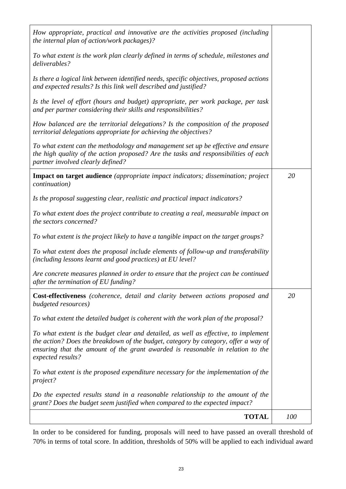| How appropriate, practical and innovative are the activities proposed (including<br>the internal plan of action/work packages)?                                                                                                                                                  |     |  |  |
|----------------------------------------------------------------------------------------------------------------------------------------------------------------------------------------------------------------------------------------------------------------------------------|-----|--|--|
| To what extent is the work plan clearly defined in terms of schedule, milestones and<br>deliverables?                                                                                                                                                                            |     |  |  |
| Is there a logical link between identified needs, specific objectives, proposed actions<br>and expected results? Is this link well described and justified?                                                                                                                      |     |  |  |
| Is the level of effort (hours and budget) appropriate, per work package, per task<br>and per partner considering their skills and responsibilities?                                                                                                                              |     |  |  |
| How balanced are the territorial delegations? Is the composition of the proposed<br>territorial delegations appropriate for achieving the objectives?                                                                                                                            |     |  |  |
| To what extent can the methodology and management set up be effective and ensure<br>the high quality of the action proposed? Are the tasks and responsibilities of each<br>partner involved clearly defined?                                                                     |     |  |  |
| <b>Impact on target audience</b> (appropriate impact indicators; dissemination; project<br><i>continuation</i> )                                                                                                                                                                 | 20  |  |  |
| Is the proposal suggesting clear, realistic and practical impact indicators?                                                                                                                                                                                                     |     |  |  |
| To what extent does the project contribute to creating a real, measurable impact on<br>the sectors concerned?                                                                                                                                                                    |     |  |  |
| To what extent is the project likely to have a tangible impact on the target groups?                                                                                                                                                                                             |     |  |  |
| To what extent does the proposal include elements of follow-up and transferability<br>(including lessons learnt and good practices) at EU level?                                                                                                                                 |     |  |  |
| Are concrete measures planned in order to ensure that the project can be continued<br>after the termination of EU funding?                                                                                                                                                       |     |  |  |
| Cost-effectiveness (coherence, detail and clarity between actions proposed and<br>budgeted resources)                                                                                                                                                                            | 20  |  |  |
| To what extent the detailed budget is coherent with the work plan of the proposal?                                                                                                                                                                                               |     |  |  |
| To what extent is the budget clear and detailed, as well as effective, to implement<br>the action? Does the breakdown of the budget, category by category, offer a way of<br>ensuring that the amount of the grant awarded is reasonable in relation to the<br>expected results? |     |  |  |
| To what extent is the proposed expenditure necessary for the implementation of the<br>project?                                                                                                                                                                                   |     |  |  |
| Do the expected results stand in a reasonable relationship to the amount of the<br>grant? Does the budget seem justified when compared to the expected impact?                                                                                                                   |     |  |  |
| <b>TOTAL</b>                                                                                                                                                                                                                                                                     | 100 |  |  |

In order to be considered for funding, proposals will need to have passed an overall threshold of 70% in terms of total score. In addition, thresholds of 50% will be applied to each individual award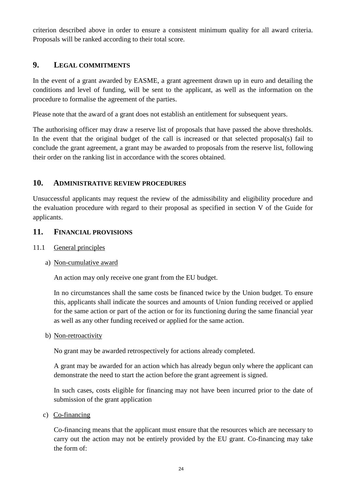criterion described above in order to ensure a consistent minimum quality for all award criteria. Proposals will be ranked according to their total score.

## <span id="page-23-0"></span>**9. LEGAL COMMITMENTS**

In the event of a grant awarded by EASME, a grant agreement drawn up in euro and detailing the conditions and level of funding, will be sent to the applicant, as well as the information on the procedure to formalise the agreement of the parties.

Please note that the award of a grant does not establish an entitlement for subsequent years.

The authorising officer may draw a reserve list of proposals that have passed the above thresholds. In the event that the original budget of the call is increased or that selected proposal(s) fail to conclude the grant agreement, a grant may be awarded to proposals from the reserve list, following their order on the ranking list in accordance with the scores obtained.

## <span id="page-23-1"></span>**10. ADMINISTRATIVE REVIEW PROCEDURES**

Unsuccessful applicants may request the review of the admissibility and eligibility procedure and the evaluation procedure with regard to their proposal as specified in section V of the Guide for applicants.

## <span id="page-23-2"></span>**11. FINANCIAL PROVISIONS**

<span id="page-23-3"></span>11.1 General principles

## a) Non-cumulative award

An action may only receive one grant from the EU budget.

In no circumstances shall the same costs be financed twice by the Union budget. To ensure this, applicants shall indicate the sources and amounts of Union funding received or applied for the same action or part of the action or for its functioning during the same financial year as well as any other funding received or applied for the same action.

b) Non-retroactivity

No grant may be awarded retrospectively for actions already completed.

A grant may be awarded for an action which has already begun only where the applicant can demonstrate the need to start the action before the grant agreement is signed.

In such cases, costs eligible for financing may not have been incurred prior to the date of submission of the grant application

c) Co-financing

Co-financing means that the applicant must ensure that the resources which are necessary to carry out the action may not be entirely provided by the EU grant. Co-financing may take the form of: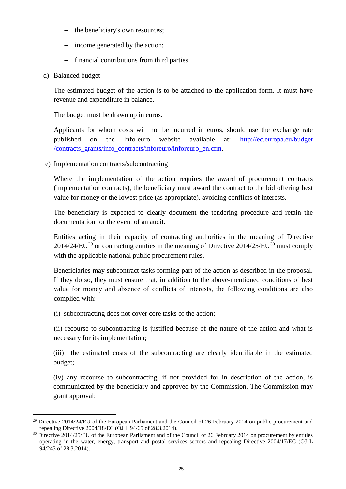- − the beneficiary's own resources;
- − income generated by the action;
- − financial contributions from third parties.

#### d) Balanced budget

The estimated budget of the action is to be attached to the application form. It must have revenue and expenditure in balance.

The budget must be drawn up in euros.

Applicants for whom costs will not be incurred in euros, should use the exchange rate published on the Info-euro website available at: [http://ec.europa.eu/budget](http://ec.europa.eu/budget%20/contracts_grants/info_contracts/inforeuro/inforeuro_en.cfm)  [/contracts\\_grants/info\\_contracts/inforeuro/inforeuro\\_en.cfm.](http://ec.europa.eu/budget%20/contracts_grants/info_contracts/inforeuro/inforeuro_en.cfm)

e) Implementation contracts/subcontracting

Where the implementation of the action requires the award of procurement contracts (implementation contracts), the beneficiary must award the contract to the bid offering best value for money or the lowest price (as appropriate), avoiding conflicts of interests.

The beneficiary is expected to clearly document the tendering procedure and retain the documentation for the event of an audit.

Entities acting in their capacity of contracting authorities in the meaning of Directive  $2014/24/EU^{29}$  $2014/24/EU^{29}$  $2014/24/EU^{29}$  or contracting entities in the meaning of Directive  $2014/25/EU^{30}$  $2014/25/EU^{30}$  $2014/25/EU^{30}$  must comply with the applicable national public procurement rules.

Beneficiaries may subcontract tasks forming part of the action as described in the proposal. If they do so, they must ensure that, in addition to the above-mentioned conditions of best value for money and absence of conflicts of interests, the following conditions are also complied with:

(i) subcontracting does not cover core tasks of the action;

(ii) recourse to subcontracting is justified because of the nature of the action and what is necessary for its implementation;

(iii) the estimated costs of the subcontracting are clearly identifiable in the estimated budget;

(iv) any recourse to subcontracting, if not provided for in description of the action, is communicated by the beneficiary and approved by the Commission. The Commission may grant approval:

<span id="page-24-0"></span><sup>&</sup>lt;sup>29</sup> Directive 2014/24/EU of the European Parliament and the Council of 26 February 2014 on public procurement and repealing Directive 2004/18/EC (OJ L 94/65 of 28.3.2014).

<span id="page-24-1"></span><sup>&</sup>lt;sup>30</sup> Directive 2014/25/EU of the European Parliament and of the Council of 26 February 2014 on procurement by entities operating in the water, energy, transport and postal services sectors and repealing Directive 2004/17/EC (OJ L 94/243 of 28.3.2014).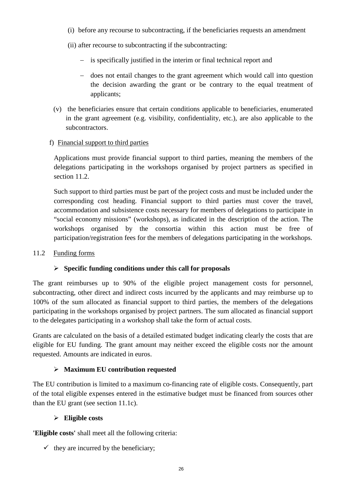- (i) before any recourse to subcontracting, if the beneficiaries requests an amendment
- (ii) after recourse to subcontracting if the subcontracting:
	- − is specifically justified in the interim or final technical report and
	- − does not entail changes to the grant agreement which would call into question the decision awarding the grant or be contrary to the equal treatment of applicants;
- (v) the beneficiaries ensure that certain conditions applicable to beneficiaries, enumerated in the grant agreement (e.g. visibility, confidentiality, etc.), are also applicable to the subcontractors.

#### f) Financial support to third parties

Applications must provide financial support to third parties, meaning the members of the delegations participating in the workshops organised by project partners as specified in section 11.2.

Such support to third parties must be part of the project costs and must be included under the corresponding cost heading. Financial support to third parties must cover the travel, accommodation and subsistence costs necessary for members of delegations to participate in "social economy missions" (workshops), as indicated in the description of the action. The workshops organised by the consortia within this action must be free of participation/registration fees for the members of delegations participating in the workshops.

#### <span id="page-25-0"></span>11.2 Funding forms

#### **Specific funding conditions under this call for proposals**

The grant reimburses up to 90% of the eligible project management costs for personnel, subcontracting, other direct and indirect costs incurred by the applicants and may reimburse up to 100% of the sum allocated as financial support to third parties, the members of the delegations participating in the workshops organised by project partners. The sum allocated as financial support to the delegates participating in a workshop shall take the form of actual costs.

Grants are calculated on the basis of a detailed estimated budget indicating clearly the costs that are eligible for EU funding. The grant amount may neither exceed the eligible costs nor the amount requested. Amounts are indicated in euros.

#### **Maximum EU contribution requested**

The EU contribution is limited to a maximum co-financing rate of eligible costs. Consequently, part of the total eligible expenses entered in the estimative budget must be financed from sources other than the EU grant (see section 11.1c).

#### **Eligible costs**

**'Eligible costs'** shall meet all the following criteria:

 $\checkmark$  they are incurred by the beneficiary;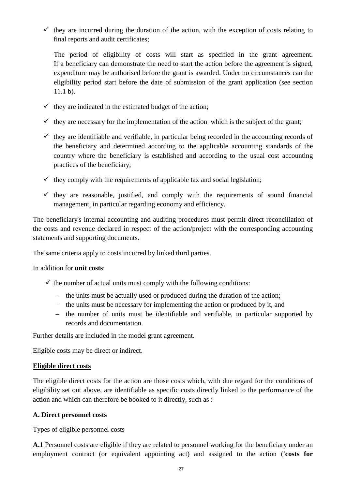$\checkmark$  they are incurred during the duration of the action, with the exception of costs relating to final reports and audit certificates;

The period of eligibility of costs will start as specified in the grant agreement. If a beneficiary can demonstrate the need to start the action before the agreement is signed, expenditure may be authorised before the grant is awarded. Under no circumstances can the eligibility period start before the date of submission of the grant application (see section 11.1 b).

- $\checkmark$  they are indicated in the estimated budget of the action;
- $\checkmark$  they are necessary for the implementation of the action which is the subject of the grant;
- $\checkmark$  they are identifiable and verifiable, in particular being recorded in the accounting records of the beneficiary and determined according to the applicable accounting standards of the country where the beneficiary is established and according to the usual cost accounting practices of the beneficiary;
- $\checkmark$  they comply with the requirements of applicable tax and social legislation;
- $\checkmark$  they are reasonable, justified, and comply with the requirements of sound financial management, in particular regarding economy and efficiency.

The beneficiary's internal accounting and auditing procedures must permit direct reconciliation of the costs and revenue declared in respect of the action/project with the corresponding accounting statements and supporting documents.

The same criteria apply to costs incurred by linked third parties.

#### In addition for **unit costs**:

- $\checkmark$  the number of actual units must comply with the following conditions:
	- − the units must be actually used or produced during the duration of the action;
	- − the units must be necessary for implementing the action or produced by it, and
	- − the number of units must be identifiable and verifiable, in particular supported by records and documentation.

Further details are included in the model grant agreement.

Eligible costs may be direct or indirect.

#### **Eligible direct costs**

The eligible direct costs for the action are those costs which, with due regard for the conditions of eligibility set out above, are identifiable as specific costs directly linked to the performance of the action and which can therefore be booked to it directly, such as :

#### **A. Direct personnel costs**

Types of eligible personnel costs

**A.1** Personnel costs are eligible if they are related to personnel working for the beneficiary under an employment contract (or equivalent appointing act) and assigned to the action (**'costs for**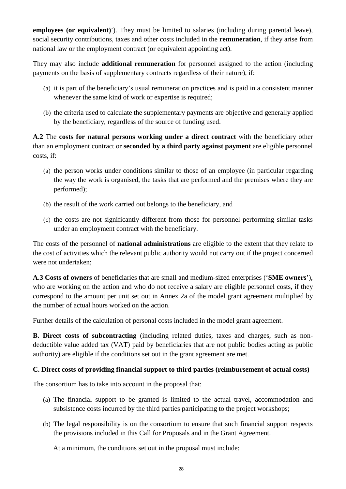**employees (or equivalent)'**). They must be limited to salaries (including during parental leave), social security contributions, taxes and other costs included in the **remuneration**, if they arise from national law or the employment contract (or equivalent appointing act).

They may also include **additional remuneration** for personnel assigned to the action (including payments on the basis of supplementary contracts regardless of their nature), if:

- (a) it is part of the beneficiary's usual remuneration practices and is paid in a consistent manner whenever the same kind of work or expertise is required;
- (b) the criteria used to calculate the supplementary payments are objective and generally applied by the beneficiary, regardless of the source of funding used.

**A.2** The **costs for natural persons working under a direct contract** with the beneficiary other than an employment contract or **seconded by a third party against payment** are eligible personnel costs, if:

- (a) the person works under conditions similar to those of an employee (in particular regarding the way the work is organised, the tasks that are performed and the premises where they are performed);
- (b) the result of the work carried out belongs to the beneficiary, and
- (c) the costs are not significantly different from those for personnel performing similar tasks under an employment contract with the beneficiary.

The costs of the personnel of **national administrations** are eligible to the extent that they relate to the cost of activities which the relevant public authority would not carry out if the project concerned were not undertaken;

**A.3 Costs of owners** of beneficiaries that are small and medium-sized enterprises ('**SME owners**'), who are working on the action and who do not receive a salary are eligible personnel costs, if they correspond to the amount per unit set out in Annex 2a of the model grant agreement multiplied by the number of actual hours worked on the action.

Further details of the calculation of personal costs included in the model grant agreement.

**B. Direct costs of subcontracting** (including related duties, taxes and charges, such as nondeductible value added tax (VAT) paid by beneficiaries that are not public bodies acting as public authority) are eligible if the conditions set out in the grant agreement are met.

## **C. Direct costs of providing financial support to third parties (reimbursement of actual costs)**

The consortium has to take into account in the proposal that:

- (a) The financial support to be granted is limited to the actual travel, accommodation and subsistence costs incurred by the third parties participating to the project workshops;
- (b) The legal responsibility is on the consortium to ensure that such financial support respects the provisions included in this Call for Proposals and in the Grant Agreement.

At a minimum, the conditions set out in the proposal must include: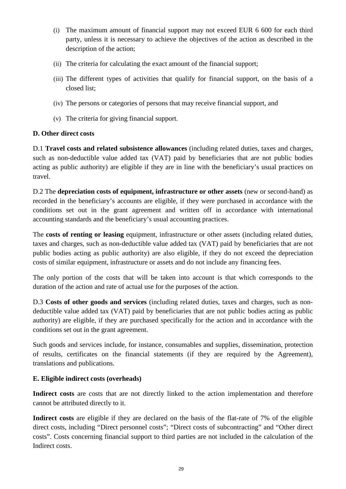- (i) The maximum amount of financial support may not exceed EUR 6 600 for each third party, unless it is necessary to achieve the objectives of the action as described in the description of the action;
- (ii) The criteria for calculating the exact amount of the financial support;
- (iii) The different types of activities that qualify for financial support, on the basis of a closed list;
- (iv) The persons or categories of persons that may receive financial support, and
- (v) The criteria for giving financial support.

#### **D. Other direct costs**

D.1 **Travel costs and related subsistence allowances** (including related duties, taxes and charges, such as non-deductible value added tax (VAT) paid by beneficiaries that are not public bodies acting as public authority) are eligible if they are in line with the beneficiary's usual practices on travel.

D.2 The **depreciation costs of equipment, infrastructure or other assets** (new or second-hand) as recorded in the beneficiary's accounts are eligible, if they were purchased in accordance with the conditions set out in the grant agreement and written off in accordance with international accounting standards and the beneficiary's usual accounting practices.

The **costs of renting or leasing** equipment, infrastructure or other assets (including related duties, taxes and charges, such as non-deductible value added tax (VAT) paid by beneficiaries that are not public bodies acting as public authority) are also eligible, if they do not exceed the depreciation costs of similar equipment, infrastructure or assets and do not include any financing fees.

The only portion of the costs that will be taken into account is that which corresponds to the duration of the action and rate of actual use for the purposes of the action.

D.3 **Costs of other goods and services** (including related duties, taxes and charges, such as nondeductible value added tax (VAT) paid by beneficiaries that are not public bodies acting as public authority) are eligible, if they are purchased specifically for the action and in accordance with the conditions set out in the grant agreement.

Such goods and services include, for instance, consumables and supplies, dissemination, protection of results, certificates on the financial statements (if they are required by the Agreement), translations and publications.

## **E. Eligible indirect costs (overheads)**

Indirect costs are costs that are not directly linked to the action implementation and therefore cannot be attributed directly to it.

**Indirect costs** are eligible if they are declared on the basis of the flat-rate of 7% of the eligible direct costs, including "Direct personnel costs"; "Direct costs of subcontracting" and "Other direct costs". Costs concerning financial support to third parties are not included in the calculation of the Indirect costs.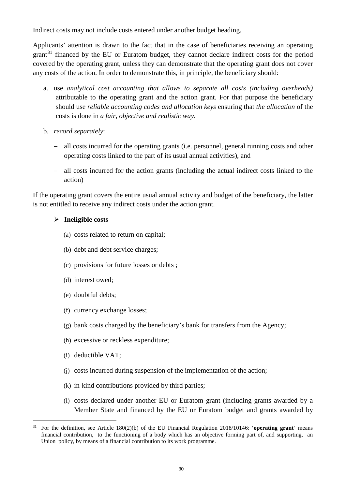Indirect costs may not include costs entered under another budget heading.

Applicants' attention is drawn to the fact that in the case of beneficiaries receiving an operating grant<sup>[31](#page-29-0)</sup> financed by the EU or Euratom budget, they cannot declare indirect costs for the period covered by the operating grant, unless they can demonstrate that the operating grant does not cover any costs of the action. In order to demonstrate this, in principle, the beneficiary should:

- a. use *analytical cost accounting that allows to separate all costs (including overheads)*  attributable to the operating grant and the action grant. For that purpose the beneficiary should use *reliable accounting codes and allocation keys* ensuring that *the allocation* of the costs is done in *a fair, objective and realistic way.*
- b. *record separately*:
	- − all costs incurred for the operating grants (i.e. personnel, general running costs and other operating costs linked to the part of its usual annual activities), and
	- − all costs incurred for the action grants (including the actual indirect costs linked to the action)

If the operating grant covers the entire usual annual activity and budget of the beneficiary, the latter is not entitled to receive any indirect costs under the action grant.

#### **Ineligible costs**

- (a) costs related to return on capital;
- (b) debt and debt service charges;
- (c) provisions for future losses or debts ;
- (d) interest owed;
- (e) doubtful debts;
- (f) currency exchange losses;
- (g) bank costs charged by the beneficiary's bank for transfers from the Agency;
- (h) excessive or reckless expenditure;
- (i) deductible VAT;
- (j) costs incurred during suspension of the implementation of the action;
- (k) in-kind contributions provided by third parties;
- (l) costs declared under another EU or Euratom grant (including grants awarded by a Member State and financed by the EU or Euratom budget and grants awarded by

<span id="page-29-0"></span> <sup>31</sup> For the definition, see Article 180(2)(b) of the EU Financial Regulation 2018/10146: '**operating grant**' means financial contribution, to the functioning of a body which has an objective forming part of, and supporting, an Union policy, by means of a financial contribution to its work programme.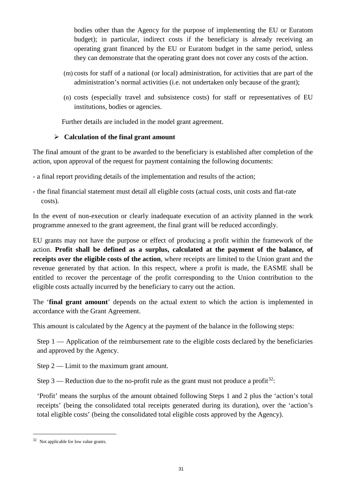bodies other than the Agency for the purpose of implementing the EU or Euratom budget); in particular, indirect costs if the beneficiary is already receiving an operating grant financed by the EU or Euratom budget in the same period, unless they can demonstrate that the operating grant does not cover any costs of the action.

- (m) costs for staff of a national (or local) administration, for activities that are part of the administration's normal activities (i.e. not undertaken only because of the grant);
- (n) costs (especially travel and subsistence costs) for staff or representatives of EU institutions, bodies or agencies.

Further details are included in the model grant agreement.

## **Calculation of the final grant amount**

The final amount of the grant to be awarded to the beneficiary is established after completion of the action, upon approval of the request for payment containing the following documents:

- a final report providing details of the implementation and results of the action;

- the final financial statement must detail all eligible costs (actual costs, unit costs and flat-rate costs).

In the event of non-execution or clearly inadequate execution of an activity planned in the work programme annexed to the grant agreement, the final grant will be reduced accordingly.

EU grants may not have the purpose or effect of producing a profit within the framework of the action. **Profit shall be defined as a surplus, calculated at the payment of the balance, of receipts over the eligible costs of the action**, where receipts are limited to the Union grant and the revenue generated by that action. In this respect, where a profit is made, the EASME shall be entitled to recover the percentage of the profit corresponding to the Union contribution to the eligible costs actually incurred by the beneficiary to carry out the action.

The '**final grant amount**' depends on the actual extent to which the action is implemented in accordance with the Grant Agreement.

This amount is calculated by the Agency at the payment of the balance in the following steps:

Step 1 — Application of the reimbursement rate to the eligible costs declared by the beneficiaries and approved by the Agency.

Step 2 — Limit to the maximum grant amount.

Step 3 — Reduction due to the no-profit rule as the grant must not produce a profit<sup>[32](#page-30-0)</sup>:

'Profit' means the surplus of the amount obtained following Steps 1 and 2 plus the 'action's total receipts' (being the consolidated total receipts generated during its duration), over the 'action's total eligible costs' (being the consolidated total eligible costs approved by the Agency).

<span id="page-30-0"></span> <sup>32</sup> Not applicable for low value grants.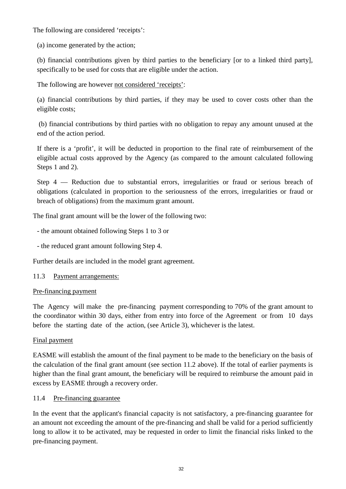The following are considered 'receipts':

(a) income generated by the action;

(b) financial contributions given by third parties to the beneficiary [or to a linked third party], specifically to be used for costs that are eligible under the action.

The following are however not considered 'receipts':

(a) financial contributions by third parties, if they may be used to cover costs other than the eligible costs;

(b) financial contributions by third parties with no obligation to repay any amount unused at the end of the action period.

If there is a 'profit', it will be deducted in proportion to the final rate of reimbursement of the eligible actual costs approved by the Agency (as compared to the amount calculated following Steps 1 and 2).

Step 4 — Reduction due to substantial errors, irregularities or fraud or serious breach of obligations (calculated in proportion to the seriousness of the errors, irregularities or fraud or breach of obligations) from the maximum grant amount.

The final grant amount will be the lower of the following two:

- the amount obtained following Steps 1 to 3 or

- the reduced grant amount following Step 4.

Further details are included in the model grant agreement.

#### <span id="page-31-0"></span>11.3 Payment arrangements:

#### Pre-financing payment

The Agency will make the pre-financing payment corresponding to 70% of the grant amount to the coordinator within 30 days, either from entry into force of the Agreement or from 10 days before the starting date of the action, (see Article 3), whichever is the latest.

#### Final payment

EASME will establish the amount of the final payment to be made to the beneficiary on the basis of the calculation of the final grant amount (see section 11.2 above). If the total of earlier payments is higher than the final grant amount, the beneficiary will be required to reimburse the amount paid in excess by EASME through a recovery order.

#### <span id="page-31-1"></span>11.4 Pre-financing guarantee

In the event that the applicant's financial capacity is not satisfactory, a pre-financing guarantee for an amount not exceeding the amount of the pre-financing and shall be valid for a period sufficiently long to allow it to be activated, may be requested in order to limit the financial risks linked to the pre-financing payment.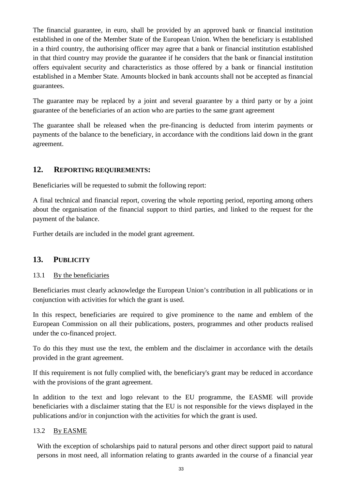The financial guarantee, in euro, shall be provided by an approved bank or financial institution established in one of the Member State of the European Union. When the beneficiary is established in a third country, the authorising officer may agree that a bank or financial institution established in that third country may provide the guarantee if he considers that the bank or financial institution offers equivalent security and characteristics as those offered by a bank or financial institution established in a Member State. Amounts blocked in bank accounts shall not be accepted as financial guarantees.

The guarantee may be replaced by a joint and several guarantee by a third party or by a joint guarantee of the beneficiaries of an action who are parties to the same grant agreement

The guarantee shall be released when the pre-financing is deducted from interim payments or payments of the balance to the beneficiary, in accordance with the conditions laid down in the grant agreement.

## <span id="page-32-0"></span>**12. REPORTING REQUIREMENTS:**

Beneficiaries will be requested to submit the following report:

A final technical and financial report, covering the whole reporting period, reporting among others about the organisation of the financial support to third parties, and linked to the request for the payment of the balance.

<span id="page-32-1"></span>Further details are included in the model grant agreement.

## **13. PUBLICITY**

#### <span id="page-32-2"></span>13.1 By the beneficiaries

Beneficiaries must clearly acknowledge the European Union's contribution in all publications or in conjunction with activities for which the grant is used.

In this respect, beneficiaries are required to give prominence to the name and emblem of the European Commission on all their publications, posters, programmes and other products realised under the co-financed project.

To do this they must use the text, the emblem and the disclaimer in accordance with the details provided in the grant agreement.

If this requirement is not fully complied with, the beneficiary's grant may be reduced in accordance with the provisions of the grant agreement.

In addition to the text and logo relevant to the EU programme, the EASME will provide beneficiaries with a disclaimer stating that the EU is not responsible for the views displayed in the publications and/or in conjunction with the activities for which the grant is used.

#### <span id="page-32-3"></span>13.2 By EASME

With the exception of scholarships paid to natural persons and other direct support paid to natural persons in most need, all information relating to grants awarded in the course of a financial year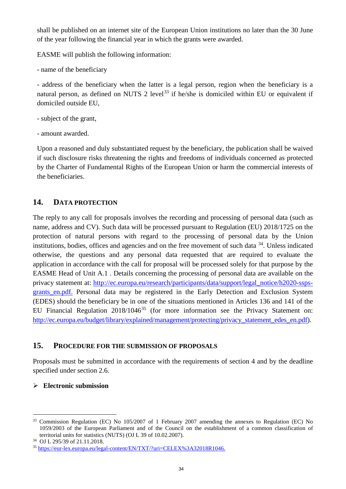shall be published on an internet site of the European Union institutions no later than the 30 June of the year following the financial year in which the grants were awarded.

EASME will publish the following information:

- name of the beneficiary

- address of the beneficiary when the latter is a legal person, region when the beneficiary is a natural person, as defined on NUTS 2 level<sup>[33](#page-33-2)</sup> if he/she is domiciled within EU or equivalent if domiciled outside EU,

- subject of the grant,
- amount awarded.

Upon a reasoned and duly substantiated request by the beneficiary, the publication shall be waived if such disclosure risks threatening the rights and freedoms of individuals concerned as protected by the Charter of Fundamental Rights of the European Union or harm the commercial interests of the beneficiaries.

## <span id="page-33-0"></span>**14. DATA PROTECTION**

The reply to any call for proposals involves the recording and processing of personal data (such as name, address and CV). Such data will be processed pursuant to Regulation (EU) 2018/1725 on the protection of natural persons with regard to the processing of personal data by the Union institutions, bodies, offices and agencies and on the free movement of such data [34.](#page-33-3) Unless indicated otherwise, the questions and any personal data requested that are required to evaluate the application in accordance with the call for proposal will be processed solely for that purpose by the EASME Head of Unit A.1 . Details concerning the processing of personal data are available on the privacy statement at: [http://ec.europa.eu/research/participants/data/support/legal\\_notice/h2020-ssps](http://ec.europa.eu/research/participants/data/support/legal_notice/h2020-ssps-grants_en.pdf)[grants\\_en.pdf.](http://ec.europa.eu/research/participants/data/support/legal_notice/h2020-ssps-grants_en.pdf) Personal data may be registered in the Early Detection and Exclusion System (EDES) should the beneficiary be in one of the situations mentioned in Articles 136 and 141 of the EU Financial Regulation 2018/1046<sup>[35](#page-33-4)</sup> (for more information see the Privacy Statement on: [http://ec.europa.eu/budget/library/explained/management/protecting/privacy\\_statement\\_edes\\_en.pdf\)](http://ec.europa.eu/budget/library/explained/management/protecting/privacy_statement_edes_en.pdf).

## <span id="page-33-1"></span>**15. PROCEDURE FOR THE SUBMISSION OF PROPOSALS**

Proposals must be submitted in accordance with the requirements of section 4 and by the deadline specified under section 2.6.

## **Electronic submission**

<span id="page-33-2"></span> <sup>33</sup> Commission Regulation (EC) No 105/2007 of 1 February 2007 amending the annexes to Regulation (EC) No 1059/2003 of the European Parliament and of the Council on the establishment of a common classification of territorial units for statistics (NUTS) (OJ L 39 of 10.02.2007).

<span id="page-33-3"></span><sup>34</sup> OJ L 295/39 of 21.11.2018.

<span id="page-33-4"></span><sup>35</sup> [https://eur-lex.europa.eu/legal-content/EN/TXT/?uri=CELEX%3A32018R1046.](https://eur-lex.europa.eu/legal-content/EN/TXT/?uri=CELEX%3A32018R1046)